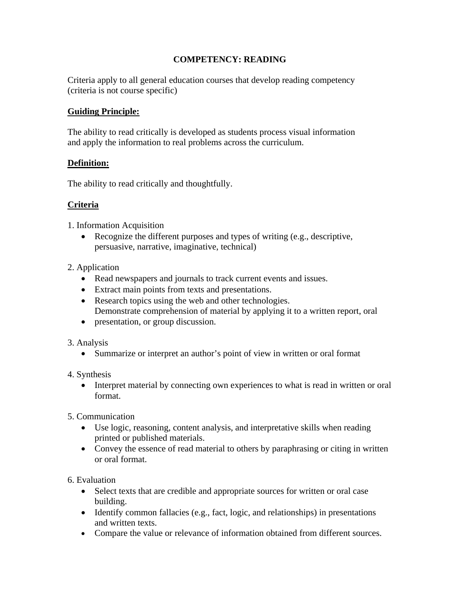# **COMPETENCY: READING**

Criteria apply to all general education courses that develop reading competency (criteria is not course specific)

## **Guiding Principle:**

The ability to read critically is developed as students process visual information and apply the information to real problems across the curriculum.

### **Definition:**

The ability to read critically and thoughtfully.

## **Criteria**

1. Information Acquisition

• Recognize the different purposes and types of writing (e.g., descriptive, persuasive, narrative, imaginative, technical)

### 2. Application

- Read newspapers and journals to track current events and issues.
- Extract main points from texts and presentations.
- Research topics using the web and other technologies. Demonstrate comprehension of material by applying it to a written report, oral
- presentation, or group discussion.
- 3. Analysis
	- Summarize or interpret an author's point of view in written or oral format
- 4. Synthesis
	- Interpret material by connecting own experiences to what is read in written or oral format.
- 5. Communication
	- Use logic, reasoning, content analysis, and interpretative skills when reading printed or published materials.
	- Convey the essence of read material to others by paraphrasing or citing in written or oral format.

6. Evaluation

- Select texts that are credible and appropriate sources for written or oral case building.
- Identify common fallacies (e.g., fact, logic, and relationships) in presentations and written texts.
- Compare the value or relevance of information obtained from different sources.